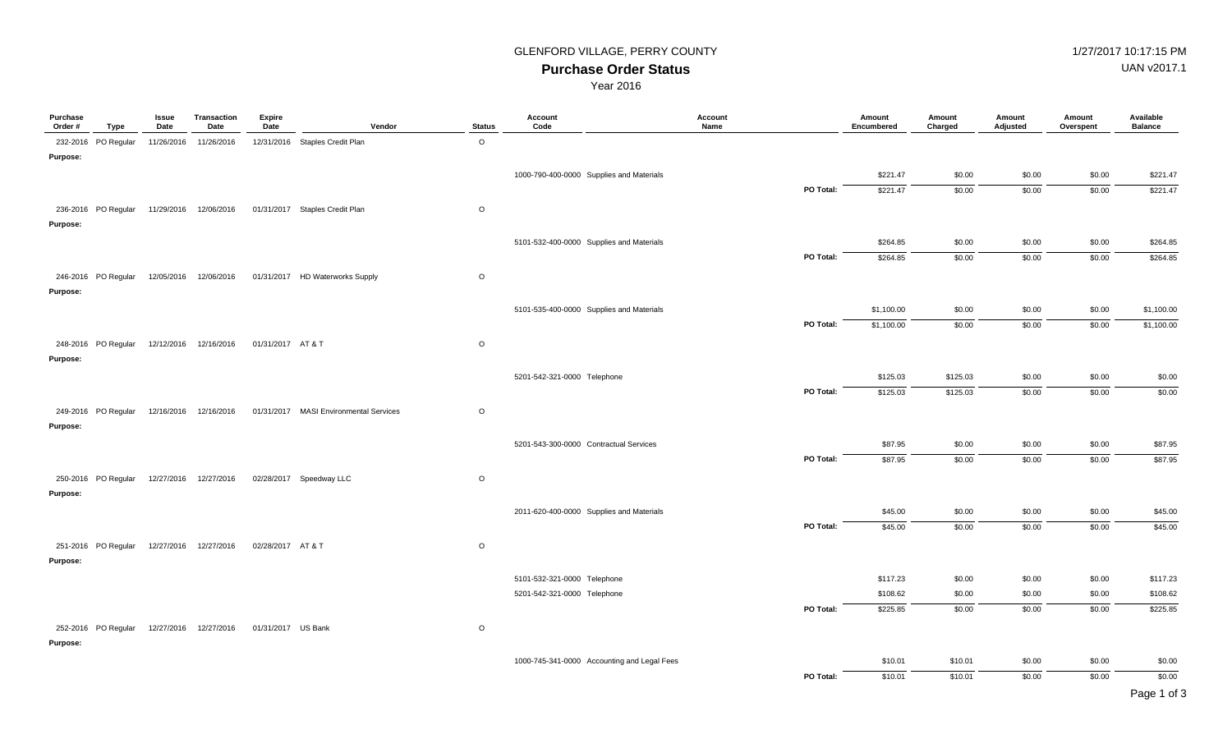## GLENFORD VILLAGE, PERRY COUNTY **1/27/2017 10:17:15 PM**

UAN v2017.1

**Purchase Order Status** Year 2016

| Purchase<br>Order # | Type                | Issue<br>Date | Transaction<br>Date    | <b>Expire</b><br>Date | Vendor                                 | <b>Status</b> | Account<br>Code                             | Account<br>Name | Amount<br>Encumbered | Amount<br>Charged | Amount<br>Adjusted | Amount<br>Overspent | Available<br><b>Balance</b> |
|---------------------|---------------------|---------------|------------------------|-----------------------|----------------------------------------|---------------|---------------------------------------------|-----------------|----------------------|-------------------|--------------------|---------------------|-----------------------------|
|                     | 232-2016 PO Regular | 11/26/2016    | 11/26/2016             |                       | 12/31/2016 Staples Credit Plan         | $\circ$       |                                             |                 |                      |                   |                    |                     |                             |
| Purpose:            |                     |               |                        |                       |                                        |               |                                             |                 |                      |                   |                    |                     |                             |
|                     |                     |               |                        |                       |                                        |               | 1000-790-400-0000 Supplies and Materials    |                 | \$221.47             | \$0.00            | \$0.00             | \$0.00              | \$221.47                    |
|                     |                     |               |                        |                       |                                        |               |                                             | PO Total:       | \$221.47             | \$0.00            | \$0.00             | \$0.00              | \$221.47                    |
|                     | 236-2016 PO Regular |               | 11/29/2016 12/06/2016  |                       | 01/31/2017 Staples Credit Plan         | $\circ$       |                                             |                 |                      |                   |                    |                     |                             |
| Purpose:            |                     |               |                        |                       |                                        |               |                                             |                 |                      |                   |                    |                     |                             |
|                     |                     |               |                        |                       |                                        |               | 5101-532-400-0000 Supplies and Materials    |                 | \$264.85             | \$0.00            | \$0.00             | \$0.00              | \$264.85                    |
|                     |                     |               |                        |                       |                                        |               |                                             | PO Total:       | \$264.85             | \$0.00            | \$0.00             | \$0.00              | \$264.85                    |
|                     | 246-2016 PO Regular |               | 12/05/2016 12/06/2016  |                       | 01/31/2017 HD Waterworks Supply        | $\circ$       |                                             |                 |                      |                   |                    |                     |                             |
| Purpose:            |                     |               |                        |                       |                                        |               |                                             |                 |                      |                   |                    |                     |                             |
|                     |                     |               |                        |                       |                                        |               | 5101-535-400-0000 Supplies and Materials    |                 | \$1,100.00           | \$0.00            | \$0.00             | \$0.00              | \$1,100.00                  |
|                     |                     |               |                        |                       |                                        |               |                                             | PO Total:       | \$1,100.00           | \$0.00            | \$0.00             | \$0.00              | \$1,100.00                  |
|                     | 248-2016 PO Regular |               | 12/12/2016 12/16/2016  | 01/31/2017 AT&T       |                                        | $\circ$       |                                             |                 |                      |                   |                    |                     |                             |
| Purpose:            |                     |               |                        |                       |                                        |               |                                             |                 |                      |                   |                    |                     |                             |
|                     |                     |               |                        |                       |                                        |               | 5201-542-321-0000 Telephone                 |                 | \$125.03             | \$125.03          | \$0.00             | \$0.00              | \$0.00                      |
|                     |                     |               |                        |                       |                                        |               |                                             | PO Total:       | \$125.03             | \$125.03          | \$0.00             | \$0.00              | \$0.00                      |
|                     | 249-2016 PO Regular |               | 12/16/2016 12/16/2016  |                       | 01/31/2017 MASI Environmental Services | $\circ$       |                                             |                 |                      |                   |                    |                     |                             |
| Purpose:            |                     |               |                        |                       |                                        |               |                                             |                 |                      |                   |                    |                     |                             |
|                     |                     |               |                        |                       |                                        |               | 5201-543-300-0000 Contractual Services      |                 | \$87.95              | \$0.00            | \$0.00             | \$0.00              | \$87.95                     |
|                     |                     |               |                        |                       |                                        |               |                                             | PO Total:       | \$87.95              | \$0.00            | \$0.00             | \$0.00              | \$87.95                     |
|                     |                     |               |                        |                       |                                        |               |                                             |                 |                      |                   |                    |                     |                             |
| Purpose:            | 250-2016 PO Regular |               | 12/27/2016  12/27/2016 |                       | 02/28/2017 Speedway LLC                | $\circ$       |                                             |                 |                      |                   |                    |                     |                             |
|                     |                     |               |                        |                       |                                        |               |                                             |                 |                      |                   |                    |                     |                             |
|                     |                     |               |                        |                       |                                        |               | 2011-620-400-0000 Supplies and Materials    | PO Total:       | \$45.00<br>\$45.00   | \$0.00<br>\$0.00  | \$0.00<br>\$0.00   | \$0.00<br>\$0.00    | \$45.00<br>\$45.00          |
|                     |                     |               |                        |                       |                                        |               |                                             |                 |                      |                   |                    |                     |                             |
|                     | 251-2016 PO Regular |               | 12/27/2016 12/27/2016  | 02/28/2017 AT & T     |                                        | $\circ$       |                                             |                 |                      |                   |                    |                     |                             |
| Purpose:            |                     |               |                        |                       |                                        |               |                                             |                 |                      |                   |                    |                     |                             |
|                     |                     |               |                        |                       |                                        |               | 5101-532-321-0000 Telephone                 |                 | \$117.23             | \$0.00            | \$0.00             | \$0.00              | \$117.23                    |
|                     |                     |               |                        |                       |                                        |               | 5201-542-321-0000 Telephone                 |                 | \$108.62             | \$0.00            | \$0.00             | \$0.00              | \$108.62                    |
|                     |                     |               |                        |                       |                                        |               |                                             | PO Total:       | \$225.85             | \$0.00            | \$0.00             | \$0.00              | \$225.85                    |
|                     | 252-2016 PO Regular |               | 12/27/2016  12/27/2016 | 01/31/2017 US Bank    |                                        | $\circ$       |                                             |                 |                      |                   |                    |                     |                             |
| Purpose:            |                     |               |                        |                       |                                        |               |                                             |                 |                      |                   |                    |                     |                             |
|                     |                     |               |                        |                       |                                        |               | 1000-745-341-0000 Accounting and Legal Fees |                 | \$10.01              | \$10.01           | \$0.00             | \$0.00              | \$0.00                      |
|                     |                     |               |                        |                       |                                        |               |                                             | PO Total:       | \$10.01              | \$10.01           | \$0.00             | \$0.00              | \$0.00                      |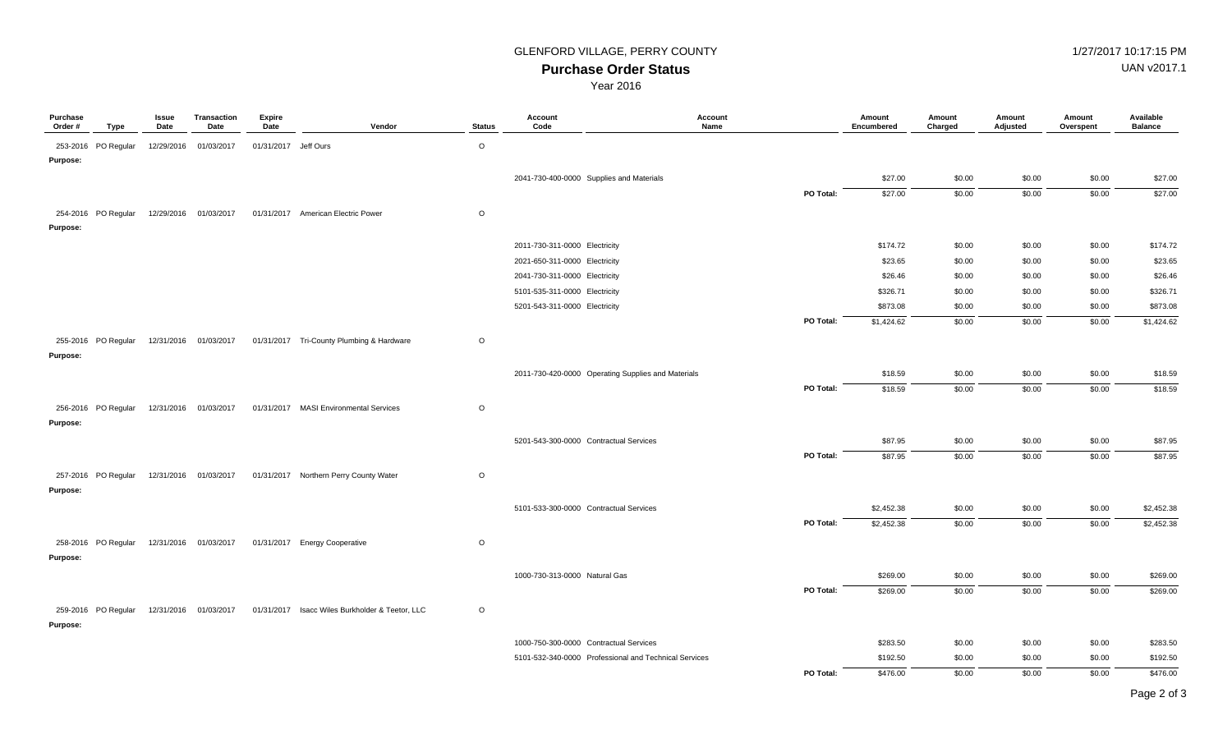### **Purchase Order Status** GLENFORD VILLAGE, PERRY COUNTY **1/27/2017 10:17:15 PM**

UAN v2017.1

Year 2016

| Purchase<br>Order # | Type                | Issue<br>Date | <b>Transaction</b><br>Date | <b>Expire</b><br>Date | Vendor                                          | <b>Status</b> | Account<br>Code                        | Account<br>Name                                       | Amount<br>Encumbered | Amount<br>Charged | Amount<br>Adjusted | Amount<br>Overspent | Available<br><b>Balance</b> |
|---------------------|---------------------|---------------|----------------------------|-----------------------|-------------------------------------------------|---------------|----------------------------------------|-------------------------------------------------------|----------------------|-------------------|--------------------|---------------------|-----------------------------|
|                     | 253-2016 PO Regular |               | 12/29/2016 01/03/2017      | 01/31/2017 Jeff Ours  |                                                 | $\circ$       |                                        |                                                       |                      |                   |                    |                     |                             |
| Purpose:            |                     |               |                            |                       |                                                 |               |                                        |                                                       |                      |                   |                    |                     |                             |
|                     |                     |               |                            |                       |                                                 |               |                                        | 2041-730-400-0000 Supplies and Materials              | \$27.00              | \$0.00            | \$0.00             | \$0.00              | \$27.00                     |
|                     |                     |               |                            |                       |                                                 |               |                                        | PO Total:                                             | \$27.00              | \$0.00            | \$0.00             | \$0.00              | \$27.00                     |
|                     | 254-2016 PO Regular |               | 12/29/2016 01/03/2017      |                       | 01/31/2017 American Electric Power              | $\circ$       |                                        |                                                       |                      |                   |                    |                     |                             |
| Purpose:            |                     |               |                            |                       |                                                 |               |                                        |                                                       |                      |                   |                    |                     |                             |
|                     |                     |               |                            |                       |                                                 |               | 2011-730-311-0000 Electricity          |                                                       | \$174.72             | \$0.00            | \$0.00             | \$0.00              | \$174.72                    |
|                     |                     |               |                            |                       |                                                 |               | 2021-650-311-0000 Electricity          |                                                       | \$23.65              | \$0.00            | \$0.00             | \$0.00              | \$23.65                     |
|                     |                     |               |                            |                       |                                                 |               | 2041-730-311-0000 Electricity          |                                                       | \$26.46              | \$0.00            | \$0.00             | \$0.00              | \$26.46                     |
|                     |                     |               |                            |                       |                                                 |               | 5101-535-311-0000 Electricity          |                                                       | \$326.71             | \$0.00            | \$0.00             | \$0.00              | \$326.71                    |
|                     |                     |               |                            |                       |                                                 |               | 5201-543-311-0000 Electricity          |                                                       | \$873.08             | \$0.00            | \$0.00             | \$0.00              | \$873.08                    |
|                     |                     |               |                            |                       |                                                 |               |                                        | PO Total:                                             | \$1,424.62           | \$0.00            | \$0.00             | \$0.00              | \$1,424.62                  |
|                     | 255-2016 PO Regular |               | 12/31/2016 01/03/2017      |                       | 01/31/2017 Tri-County Plumbing & Hardware       | $\circ$       |                                        |                                                       |                      |                   |                    |                     |                             |
| Purpose:            |                     |               |                            |                       |                                                 |               |                                        |                                                       |                      |                   |                    |                     |                             |
|                     |                     |               |                            |                       |                                                 |               |                                        | 2011-730-420-0000 Operating Supplies and Materials    | \$18.59              | \$0.00            | \$0.00             | \$0.00              | \$18.59                     |
|                     |                     |               |                            |                       |                                                 |               |                                        | PO Total:                                             | \$18.59              | \$0.00            | \$0.00             | \$0.00              | \$18.59                     |
|                     |                     |               |                            |                       | 01/31/2017 MASI Environmental Services          | $\circ$       |                                        |                                                       |                      |                   |                    |                     |                             |
| Purpose:            | 256-2016 PO Regular |               | 12/31/2016 01/03/2017      |                       |                                                 |               |                                        |                                                       |                      |                   |                    |                     |                             |
|                     |                     |               |                            |                       |                                                 |               |                                        |                                                       |                      |                   |                    |                     |                             |
|                     |                     |               |                            |                       |                                                 |               | 5201-543-300-0000 Contractual Services |                                                       | \$87.95              | \$0.00            | \$0.00             | \$0.00              | \$87.95                     |
|                     |                     |               |                            |                       |                                                 |               |                                        | PO Total:                                             | \$87.95              | \$0.00            | \$0.00             | \$0.00              | \$87.95                     |
|                     | 257-2016 PO Regular |               | 12/31/2016 01/03/2017      |                       | 01/31/2017 Northern Perry County Water          | $\circ$       |                                        |                                                       |                      |                   |                    |                     |                             |
| Purpose:            |                     |               |                            |                       |                                                 |               |                                        |                                                       |                      |                   |                    |                     |                             |
|                     |                     |               |                            |                       |                                                 |               | 5101-533-300-0000 Contractual Services |                                                       | \$2,452.38           | \$0.00            | \$0.00             | \$0.00              | \$2,452.38                  |
|                     |                     |               |                            |                       |                                                 |               |                                        | PO Total:                                             | \$2,452.38           | \$0.00            | \$0.00             | \$0.00              | \$2,452.38                  |
|                     | 258-2016 PO Regular |               | 12/31/2016 01/03/2017      |                       | 01/31/2017 Energy Cooperative                   | $\circ$       |                                        |                                                       |                      |                   |                    |                     |                             |
| Purpose:            |                     |               |                            |                       |                                                 |               |                                        |                                                       |                      |                   |                    |                     |                             |
|                     |                     |               |                            |                       |                                                 |               | 1000-730-313-0000 Natural Gas          |                                                       | \$269.00             | \$0.00            | \$0.00             | \$0.00              | \$269.00                    |
|                     |                     |               |                            |                       |                                                 |               |                                        | PO Total:                                             | \$269.00             | \$0.00            | \$0.00             | \$0.00              | \$269.00                    |
|                     |                     |               |                            |                       |                                                 |               |                                        |                                                       |                      |                   |                    |                     |                             |
|                     | 259-2016 PO Regular |               | 12/31/2016 01/03/2017      |                       | 01/31/2017 Isacc Wiles Burkholder & Teetor, LLC | $\circ$       |                                        |                                                       |                      |                   |                    |                     |                             |
| Purpose:            |                     |               |                            |                       |                                                 |               |                                        |                                                       |                      |                   |                    |                     |                             |
|                     |                     |               |                            |                       |                                                 |               | 1000-750-300-0000 Contractual Services |                                                       | \$283.50             | \$0.00            | \$0.00             | \$0.00              | \$283.50                    |
|                     |                     |               |                            |                       |                                                 |               |                                        | 5101-532-340-0000 Professional and Technical Services | \$192.50             | \$0.00            | \$0.00             | \$0.00              | \$192.50                    |
|                     |                     |               |                            |                       |                                                 |               |                                        | PO Total:                                             | \$476.00             | \$0.00            | \$0.00             | \$0.00              | \$476.00                    |